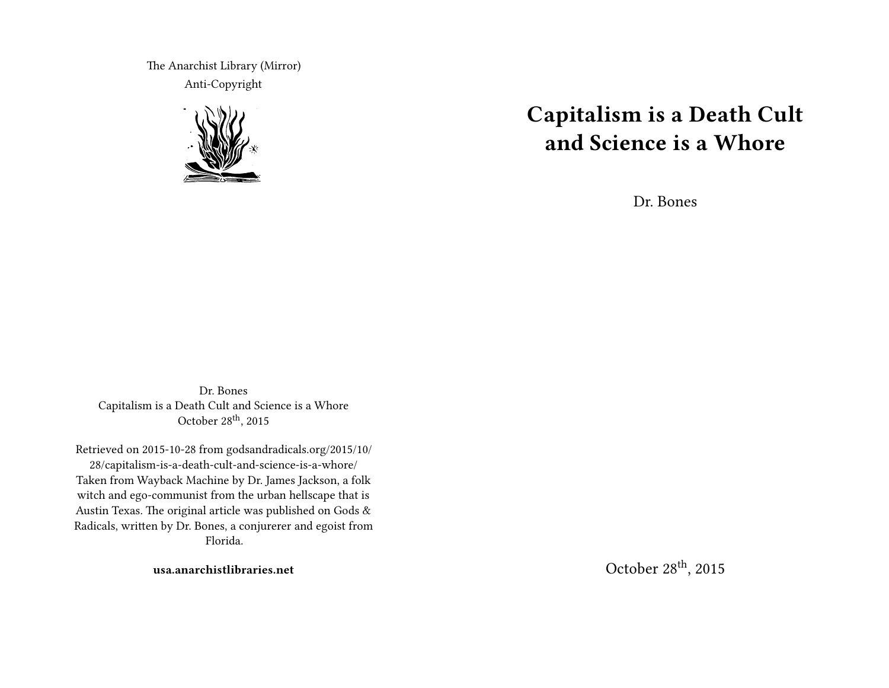The Anarchist Library (Mirror) Anti-Copyright



# **Capitalism is a Death Cult and Science is a Whore**

Dr. Bones

Dr. Bones Capitalism is a Death Cult and Science is a Whore October  $28<sup>th</sup>$ , 2015

Retrieved on 2015-10-28 from godsandradicals.org/2015/10/ 28/capitalism-is-a-death-cult-and-science-is-a-whore/ Taken from Wayback Machine by Dr. James Jackson, a folk witch and ego-communist from the urban hellscape that is Austin Texas. The original article was published on Gods & Radicals, written by Dr. Bones, a conjurerer and egoist from Florida.

**usa.anarchistlibraries.net**

October 28th, 2015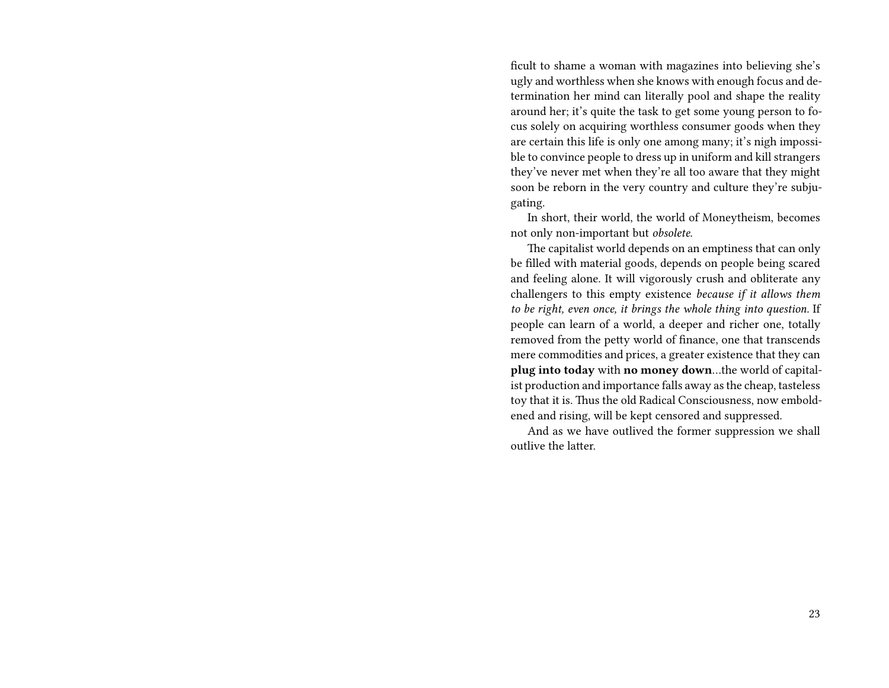ficult to shame a woman with magazines into believing she's ugly and worthless when she knows with enough focus and determination her mind can literally pool and shape the reality around her; it's quite the task to get some young person to focus solely on acquiring worthless consumer goods when they are certain this life is only one among many; it's nigh impossible to convince people to dress up in uniform and kill strangers they've never met when they're all too aware that they might soon be reborn in the very country and culture they're subjugating.

In short, their world, the world of Moneytheism, becomes not only non-important but *obsolete*.

The capitalist world depends on an emptiness that can only be filled with material goods, depends on people being scared and feeling alone. It will vigorously crush and obliterate any challengers to this empty existence *because if it allows them to be right, even once, it brings the whole thing into question.* If people can learn of a world, a deeper and richer one, totally removed from the petty world of finance, one that transcends mere commodities and prices, a greater existence that they can **plug into today** with **no money down**…the world of capitalist production and importance falls away as the cheap, tasteless toy that it is. Thus the old Radical Consciousness, now emboldened and rising, will be kept censored and suppressed.

And as we have outlived the former suppression we shall outlive the latter.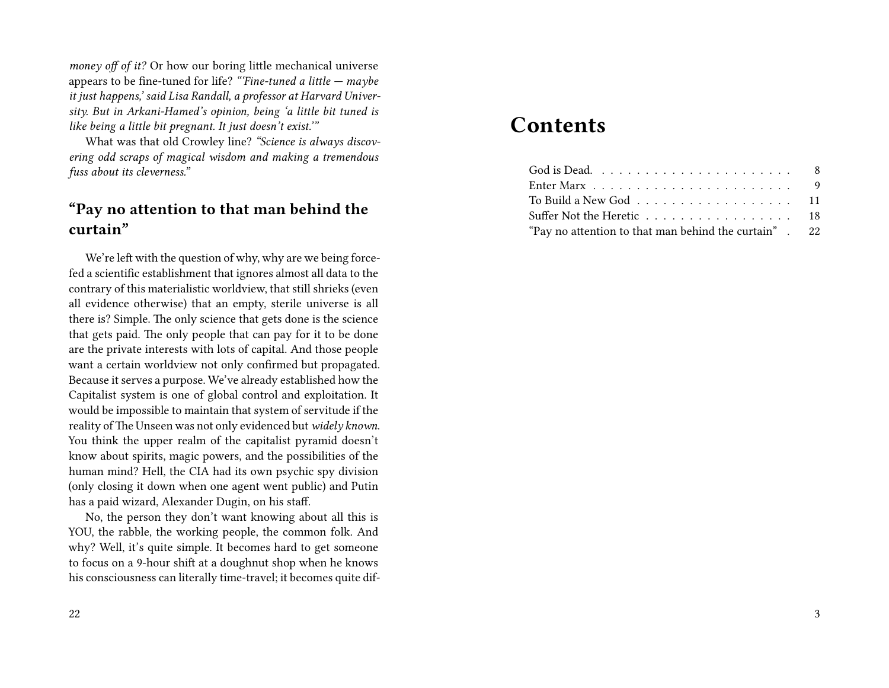*money off of it?* Or how our boring little mechanical universe appears to be fine-tuned for life? *"'Fine-tuned a little — maybe it just happens,' said Lisa Randall, a professor at Harvard University. But in Arkani-Hamed's opinion, being 'a little bit tuned is like being a little bit pregnant. It just doesn't exist.'"*

What was that old Crowley line? *"Science is always discovering odd scraps of magical wisdom and making a tremendous fuss about its cleverness."*

## **"Pay no attention to that man behind the curtain"**

We're left with the question of why, why are we being forcefed a scientific establishment that ignores almost all data to the contrary of this materialistic worldview, that still shrieks (even all evidence otherwise) that an empty, sterile universe is all there is? Simple. The only science that gets done is the science that gets paid. The only people that can pay for it to be done are the private interests with lots of capital. And those people want a certain worldview not only confirmed but propagated. Because it serves a purpose. We've already established how the Capitalist system is one of global control and exploitation. It would be impossible to maintain that system of servitude if the reality of The Unseen was not only evidenced but *widely known*. You think the upper realm of the capitalist pyramid doesn't know about spirits, magic powers, and the possibilities of the human mind? Hell, the CIA had its own psychic spy division (only closing it down when one agent went public) and Putin has a paid wizard, Alexander Dugin, on his staff.

No, the person they don't want knowing about all this is YOU, the rabble, the working people, the common folk. And why? Well, it's quite simple. It becomes hard to get someone to focus on a 9-hour shift at a doughnut shop when he knows his consciousness can literally time-travel; it becomes quite dif-

## **Contents**

| Enter Marx $\ldots \ldots \ldots \ldots \ldots \ldots \ldots$ |  |
|---------------------------------------------------------------|--|
| To Build a New God 11                                         |  |
| Suffer Not the Heretic 18                                     |  |
| "Pay no attention to that man behind the curtain". 22         |  |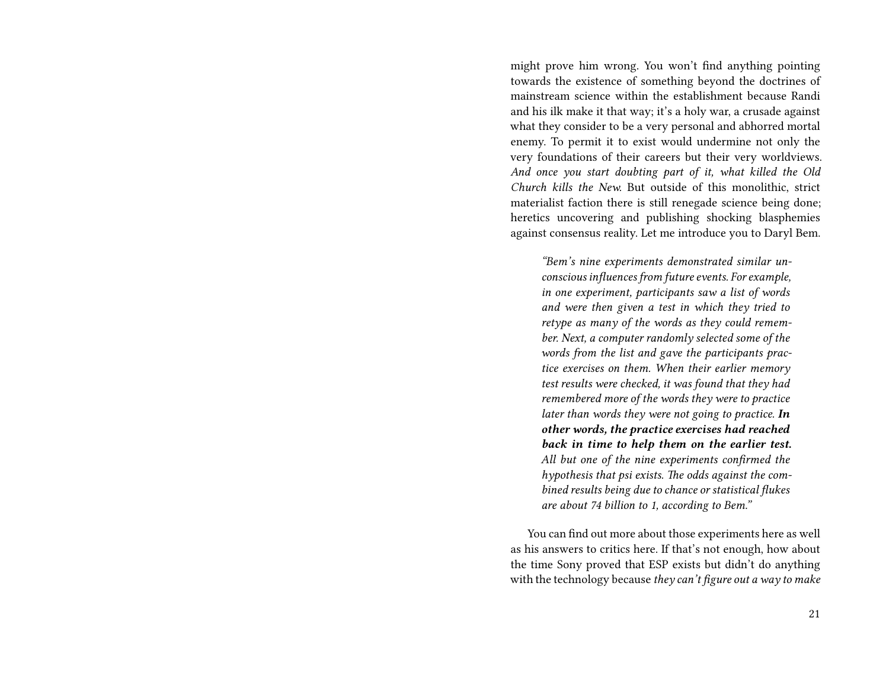might prove him wrong. You won't find anything pointing towards the existence of something beyond the doctrines of mainstream science within the establishment because Randi and his ilk make it that way; it's a holy war, a crusade against what they consider to be a very personal and abhorred mortal enemy. To permit it to exist would undermine not only the very foundations of their careers but their very worldviews. *And once you start doubting part of it, what killed the Old Church kills the New.* But outside of this monolithic, strict materialist faction there is still renegade science being done; heretics uncovering and publishing shocking blasphemies against consensus reality. Let me introduce you to Daryl Bem.

*"Bem's nine experiments demonstrated similar unconscious influences from future events. For example, in one experiment, participants saw a list of words and were then given a test in which they tried to retype as many of the words as they could remember. Next, a computer randomly selected some of the words from the list and gave the participants practice exercises on them. When their earlier memory test results were checked, it was found that they had remembered more of the words they were to practice later than words they were not going to practice. In other words, the practice exercises had reached back in time to help them on the earlier test. All but one of the nine experiments confirmed the hypothesis that psi exists. The odds against the combined results being due to chance or statistical flukes are about 74 billion to 1, according to Bem."*

You can find out more about those experiments here as well as his answers to critics here. If that's not enough, how about the time Sony proved that ESP exists but didn't do anything with the technology because *they can't figure out a way to make*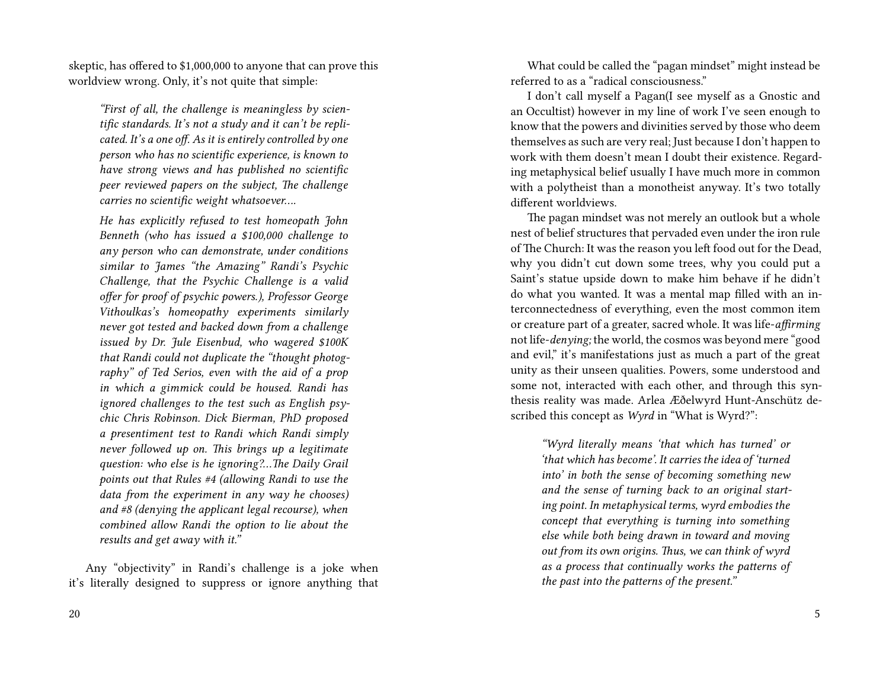skeptic, has offered to \$1,000,000 to anyone that can prove this worldview wrong. Only, it's not quite that simple:

*"First of all, the challenge is meaningless by scientific standards. It's not a study and it can't be replicated. It's a one off. As it is entirely controlled by one person who has no scientific experience, is known to have strong views and has published no scientific peer reviewed papers on the subject, The challenge carries no scientific weight whatsoever….*

*He has explicitly refused to test homeopath John Benneth (who has issued a \$100,000 challenge to any person who can demonstrate, under conditions similar to James "the Amazing" Randi's Psychic Challenge, that the Psychic Challenge is a valid offer for proof of psychic powers.), Professor George Vithoulkas's homeopathy experiments similarly never got tested and backed down from a challenge issued by Dr. Jule Eisenbud, who wagered \$100K that Randi could not duplicate the "thought photography" of Ted Serios, even with the aid of a prop in which a gimmick could be housed. Randi has ignored challenges to the test such as English psychic Chris Robinson. Dick Bierman, PhD proposed a presentiment test to Randi which Randi simply never followed up on. This brings up a legitimate question: who else is he ignoring?…The Daily Grail points out that Rules #4 (allowing Randi to use the data from the experiment in any way he chooses) and #8 (denying the applicant legal recourse), when combined allow Randi the option to lie about the results and get away with it."*

Any "objectivity" in Randi's challenge is a joke when it's literally designed to suppress or ignore anything that

What could be called the "pagan mindset" might instead be referred to as a "radical consciousness."

I don't call myself a Pagan(I see myself as a Gnostic and an Occultist) however in my line of work I've seen enough to know that the powers and divinities served by those who deem themselves as such are very real; Just because I don't happen to work with them doesn't mean I doubt their existence. Regarding metaphysical belief usually I have much more in common with a polytheist than a monotheist anyway. It's two totally different worldviews.

The pagan mindset was not merely an outlook but a whole nest of belief structures that pervaded even under the iron rule of The Church: It was the reason you left food out for the Dead, why you didn't cut down some trees, why you could put a Saint's statue upside down to make him behave if he didn't do what you wanted. It was a mental map filled with an interconnectedness of everything, even the most common item or creature part of a greater, sacred whole. It was life-*affirming* not life-*denying;* the world, the cosmos was beyond mere "good and evil," it's manifestations just as much a part of the great unity as their unseen qualities. Powers, some understood and some not, interacted with each other, and through this synthesis reality was made. Arlea Æðelwyrd Hunt-Anschütz described this concept as *Wyrd* in "What is Wyrd?":

> *"Wyrd literally means 'that which has turned' or 'that which has become'. It carries the idea of 'turned into' in both the sense of becoming something new and the sense of turning back to an original starting point. In metaphysical terms, wyrd embodies the concept that everything is turning into something else while both being drawn in toward and moving out from its own origins. Thus, we can think of wyrd as a process that continually works the patterns of the past into the patterns of the present."*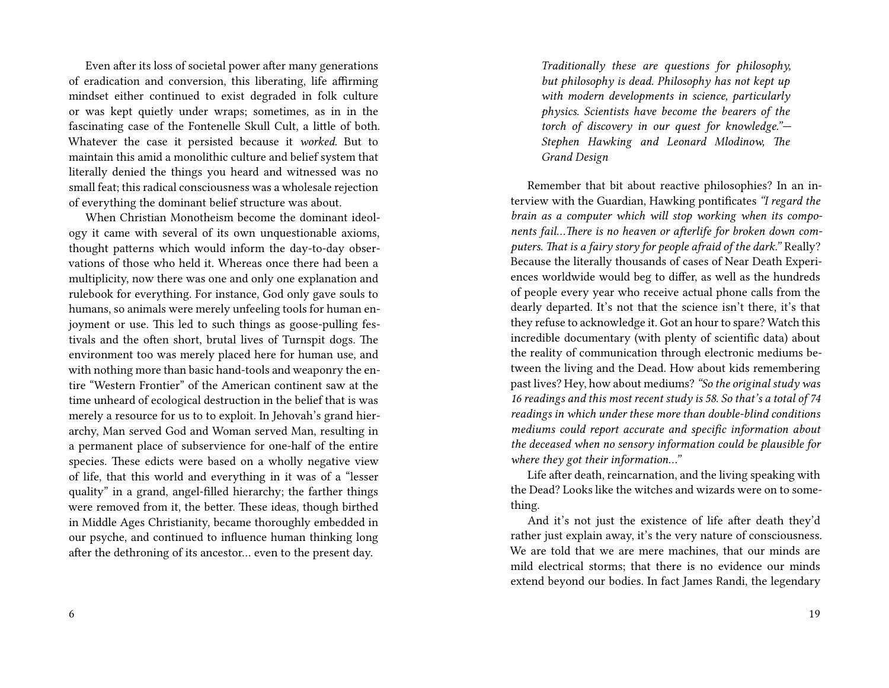Even after its loss of societal power after many generations of eradication and conversion, this liberating, life affirming mindset either continued to exist degraded in folk culture or was kept quietly under wraps; sometimes, as in in the fascinating case of the Fontenelle Skull Cult, a little of both. Whatever the case it persisted because it *worked.* But to maintain this amid a monolithic culture and belief system that literally denied the things you heard and witnessed was no small feat; this radical consciousness was a wholesale rejection of everything the dominant belief structure was about.

When Christian Monotheism become the dominant ideology it came with several of its own unquestionable axioms, thought patterns which would inform the day-to-day observations of those who held it. Whereas once there had been a multiplicity, now there was one and only one explanation and rulebook for everything. For instance, God only gave souls to humans, so animals were merely unfeeling tools for human enjoyment or use. This led to such things as goose-pulling festivals and the often short, brutal lives of Turnspit dogs. The environment too was merely placed here for human use, and with nothing more than basic hand-tools and weaponry the entire "Western Frontier" of the American continent saw at the time unheard of ecological destruction in the belief that is was merely a resource for us to to exploit. In Jehovah's grand hierarchy, Man served God and Woman served Man, resulting in a permanent place of subservience for one-half of the entire species. These edicts were based on a wholly negative view of life, that this world and everything in it was of a "lesser quality" in a grand, angel-filled hierarchy; the farther things were removed from it, the better. These ideas, though birthed in Middle Ages Christianity, became thoroughly embedded in our psyche, and continued to influence human thinking long after the dethroning of its ancestor… even to the present day.

*Traditionally these are questions for philosophy, but philosophy is dead. Philosophy has not kept up with modern developments in science, particularly physics. Scientists have become the bearers of the torch of discovery in our quest for knowledge."— Stephen Hawking and Leonard Mlodinow, The Grand Design*

Remember that bit about reactive philosophies? In an interview with the Guardian, Hawking pontificates *"I regard the brain as a computer which will stop working when its components fail…There is no heaven or afterlife for broken down computers. That is a fairy story for people afraid of the dark."* Really? Because the literally thousands of cases of Near Death Experiences worldwide would beg to differ, as well as the hundreds of people every year who receive actual phone calls from the dearly departed. It's not that the science isn't there, it's that they refuse to acknowledge it. Got an hour to spare? Watch this incredible documentary (with plenty of scientific data) about the reality of communication through electronic mediums between the living and the Dead. How about kids remembering past lives? Hey, how about mediums? *"So the original study was 16 readings and this most recent study is 58. So that's a total of 74 readings in which under these more than double-blind conditions mediums could report accurate and specific information about the deceased when no sensory information could be plausible for where they got their information…"*

Life after death, reincarnation, and the living speaking with the Dead? Looks like the witches and wizards were on to something.

And it's not just the existence of life after death they'd rather just explain away, it's the very nature of consciousness. We are told that we are mere machines, that our minds are mild electrical storms; that there is no evidence our minds extend beyond our bodies. In fact James Randi, the legendary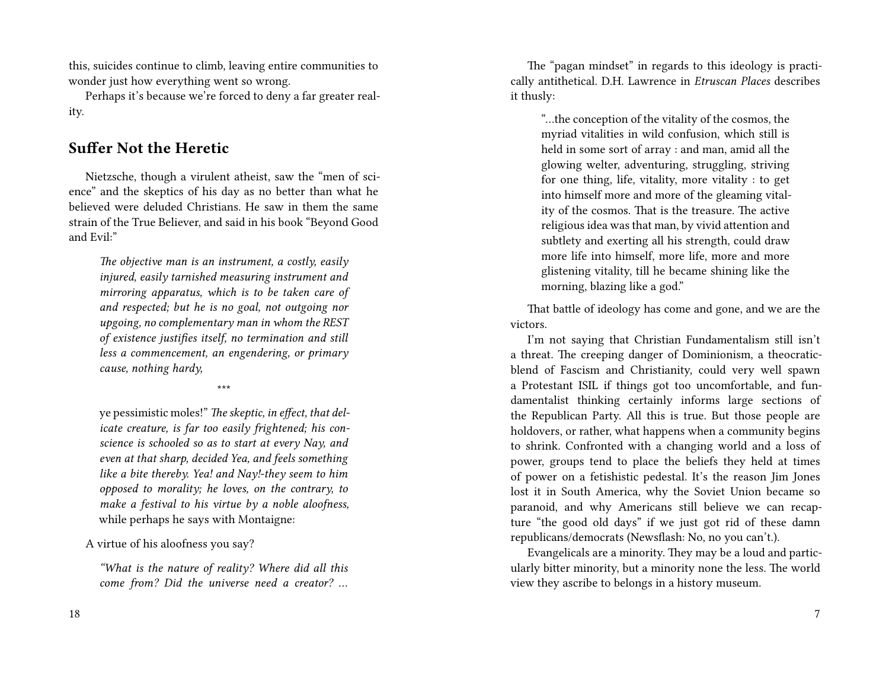this, suicides continue to climb, leaving entire communities to wonder just how everything went so wrong.

Perhaps it's because we're forced to deny a far greater reality.

### **Suffer Not the Heretic**

Nietzsche, though a virulent atheist, saw the "men of science" and the skeptics of his day as no better than what he believed were deluded Christians. He saw in them the same strain of the True Believer, and said in his book "Beyond Good and Evil:"

> *The objective man is an instrument, a costly, easily injured, easily tarnished measuring instrument and mirroring apparatus, which is to be taken care of and respected; but he is no goal, not outgoing nor upgoing, no complementary man in whom the REST of existence justifies itself, no termination and still less a commencement, an engendering, or primary cause, nothing hardy,*

> > \*\*\*

ye pessimistic moles!" *The skeptic, in effect, that delicate creature, is far too easily frightened; his conscience is schooled so as to start at every Nay, and even at that sharp, decided Yea, and feels something like a bite thereby. Yea! and Nay!-they seem to him opposed to morality; he loves, on the contrary, to make a festival to his virtue by a noble aloofness,* while perhaps he says with Montaigne:

A virtue of his aloofness you say?

*"What is the nature of reality? Where did all this come from? Did the universe need a creator? …*

The "pagan mindset" in regards to this ideology is practically antithetical. D.H. Lawrence in *Etruscan Places* describes it thusly:

> "…the conception of the vitality of the cosmos, the myriad vitalities in wild confusion, which still is held in some sort of array : and man, amid all the glowing welter, adventuring, struggling, striving for one thing, life, vitality, more vitality : to get into himself more and more of the gleaming vitality of the cosmos. That is the treasure. The active religious idea was that man, by vivid attention and subtlety and exerting all his strength, could draw more life into himself, more life, more and more glistening vitality, till he became shining like the morning, blazing like a god."

That battle of ideology has come and gone, and we are the victors.

I'm not saying that Christian Fundamentalism still isn't a threat. The creeping danger of Dominionism, a theocraticblend of Fascism and Christianity, could very well spawn a Protestant ISIL if things got too uncomfortable, and fundamentalist thinking certainly informs large sections of the Republican Party. All this is true. But those people are holdovers, or rather, what happens when a community begins to shrink. Confronted with a changing world and a loss of power, groups tend to place the beliefs they held at times of power on a fetishistic pedestal. It's the reason Jim Jones lost it in South America, why the Soviet Union became so paranoid, and why Americans still believe we can recapture "the good old days" if we just got rid of these damn republicans/democrats (Newsflash: No, no you can't.).

Evangelicals are a minority. They may be a loud and particularly bitter minority, but a minority none the less. The world view they ascribe to belongs in a history museum.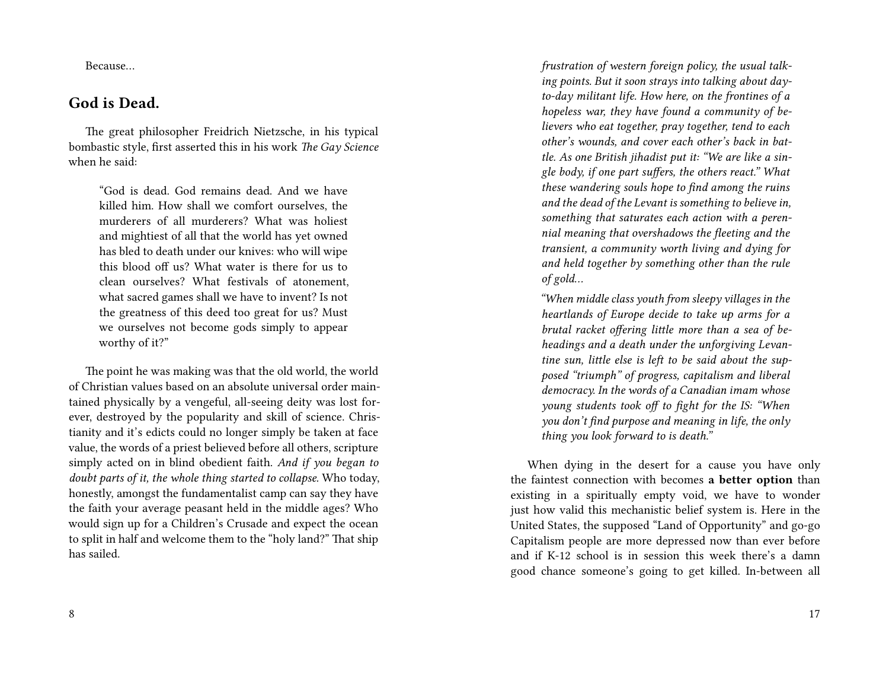Because…

### **God is Dead.**

The great philosopher Freidrich Nietzsche, in his typical bombastic style, first asserted this in his work *The Gay Science* when he said:

"God is dead. God remains dead. And we have killed him. How shall we comfort ourselves, the murderers of all murderers? What was holiest and mightiest of all that the world has yet owned has bled to death under our knives: who will wipe this blood off us? What water is there for us to clean ourselves? What festivals of atonement, what sacred games shall we have to invent? Is not the greatness of this deed too great for us? Must we ourselves not become gods simply to appear worthy of it?"

The point he was making was that the old world, the world of Christian values based on an absolute universal order maintained physically by a vengeful, all-seeing deity was lost forever, destroyed by the popularity and skill of science. Christianity and it's edicts could no longer simply be taken at face value, the words of a priest believed before all others, scripture simply acted on in blind obedient faith. *And if you began to doubt parts of it, the whole thing started to collapse.* Who today, honestly, amongst the fundamentalist camp can say they have the faith your average peasant held in the middle ages? Who would sign up for a Children's Crusade and expect the ocean to split in half and welcome them to the "holy land?" That ship has sailed.

*frustration of western foreign policy, the usual talking points. But it soon strays into talking about dayto-day militant life. How here, on the frontines of a hopeless war, they have found a community of believers who eat together, pray together, tend to each other's wounds, and cover each other's back in battle. As one British jihadist put it: "We are like a single body, if one part suffers, the others react." What these wandering souls hope to find among the ruins and the dead of the Levant is something to believe in, something that saturates each action with a perennial meaning that overshadows the fleeting and the transient, a community worth living and dying for and held together by something other than the rule of gold…*

*"When middle class youth from sleepy villages in the heartlands of Europe decide to take up arms for a brutal racket offering little more than a sea of beheadings and a death under the unforgiving Levantine sun, little else is left to be said about the supposed "triumph" of progress, capitalism and liberal democracy. In the words of a Canadian imam whose young students took off to fight for the IS: "When you don't find purpose and meaning in life, the only thing you look forward to is death."*

When dying in the desert for a cause you have only the faintest connection with becomes **a better option** than existing in a spiritually empty void, we have to wonder just how valid this mechanistic belief system is. Here in the United States, the supposed "Land of Opportunity" and go-go Capitalism people are more depressed now than ever before and if K-12 school is in session this week there's a damn good chance someone's going to get killed. In-between all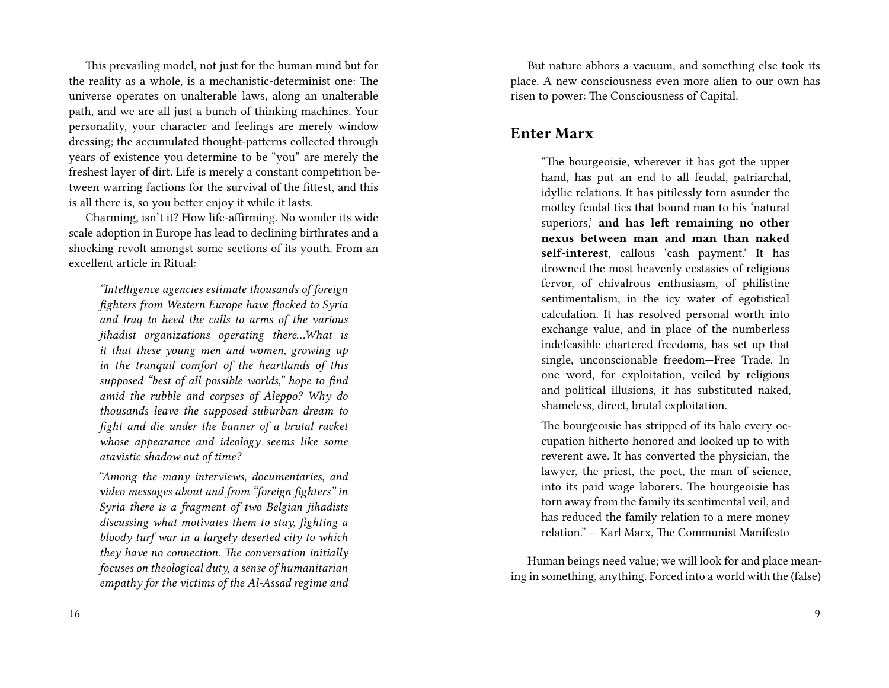This prevailing model, not just for the human mind but for the reality as a whole, is a mechanistic-determinist one: The universe operates on unalterable laws, along an unalterable path, and we are all just a bunch of thinking machines. Your personality, your character and feelings are merely window dressing; the accumulated thought-patterns collected through years of existence you determine to be "you" are merely the freshest layer of dirt. Life is merely a constant competition between warring factions for the survival of the fittest, and this is all there is, so you better enjoy it while it lasts.

Charming, isn't it? How life-affirming. No wonder its wide scale adoption in Europe has lead to declining birthrates and a shocking revolt amongst some sections of its youth. From an excellent article in Ritual:

*"Intelligence agencies estimate thousands of foreign fighters from Western Europe have flocked to Syria and Iraq to heed the calls to arms of the various jihadist organizations operating there…What is it that these young men and women, growing up in the tranquil comfort of the heartlands of this supposed "best of all possible worlds," hope to find amid the rubble and corpses of Aleppo? Why do thousands leave the supposed suburban dream to fight and die under the banner of a brutal racket whose appearance and ideology seems like some atavistic shadow out of time?*

*"Among the many interviews, documentaries, and video messages about and from "foreign fighters" in Syria there is a fragment of two Belgian jihadists discussing what motivates them to stay, fighting a bloody turf war in a largely deserted city to which they have no connection. The conversation initially focuses on theological duty, a sense of humanitarian empathy for the victims of the Al-Assad regime and*

But nature abhors a vacuum, and something else took its place. A new consciousness even more alien to our own has risen to power: The Consciousness of Capital.

#### **Enter Marx**

"The bourgeoisie, wherever it has got the upper hand, has put an end to all feudal, patriarchal, idyllic relations. It has pitilessly torn asunder the motley feudal ties that bound man to his 'natural superiors,' **and has left remaining no other nexus between man and man than naked self-interest**, callous 'cash payment.' It has drowned the most heavenly ecstasies of religious fervor, of chivalrous enthusiasm, of philistine sentimentalism, in the icy water of egotistical calculation. It has resolved personal worth into exchange value, and in place of the numberless indefeasible chartered freedoms, has set up that single, unconscionable freedom—Free Trade. In one word, for exploitation, veiled by religious and political illusions, it has substituted naked, shameless, direct, brutal exploitation.

The bourgeoisie has stripped of its halo every occupation hitherto honored and looked up to with reverent awe. It has converted the physician, the lawyer, the priest, the poet, the man of science, into its paid wage laborers. The bourgeoisie has torn away from the family its sentimental veil, and has reduced the family relation to a mere money relation."― Karl Marx, The Communist Manifesto

Human beings need value; we will look for and place meaning in something, anything. Forced into a world with the (false)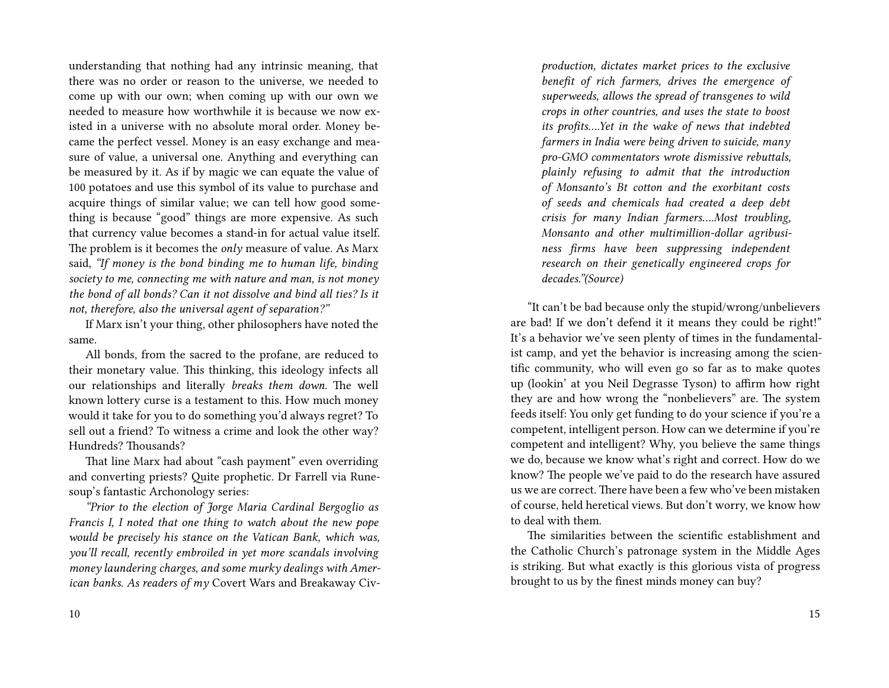understanding that nothing had any intrinsic meaning, that there was no order or reason to the universe, we needed to come up with our own; when coming up with our own we needed to measure how worthwhile it is because we now existed in a universe with no absolute moral order. Money became the perfect vessel. Money is an easy exchange and measure of value, a universal one. Anything and everything can be measured by it. As if by magic we can equate the value of 100 potatoes and use this symbol of its value to purchase and acquire things of similar value; we can tell how good something is because "good" things are more expensive. As such that currency value becomes a stand-in for actual value itself. The problem is it becomes the *only* measure of value. As Marx said, *"If money is the bond binding me to human life, binding society to me, connecting me with nature and man, is not money the bond of all bonds? Can it not dissolve and bind all ties? Is it not, therefore, also the universal agent of separation?"*

If Marx isn't your thing, other philosophers have noted the same.

All bonds, from the sacred to the profane, are reduced to their monetary value. This thinking, this ideology infects all our relationships and literally *breaks them down.* The well known lottery curse is a testament to this. How much money would it take for you to do something you'd always regret? To sell out a friend? To witness a crime and look the other way? Hundreds? Thousands?

That line Marx had about "cash payment" even overriding and converting priests? Quite prophetic. Dr Farrell via Runesoup's fantastic Archonology series:

*"Prior to the election of Jorge Maria Cardinal Bergoglio as Francis I, I noted that one thing to watch about the new pope would be precisely his stance on the Vatican Bank, which was, you'll recall, recently embroiled in yet more scandals involving money laundering charges, and some murky dealings with American banks. As readers of my* Covert Wars and Breakaway Civ-

*production, dictates market prices to the exclusive benefit of rich farmers, drives the emergence of superweeds, allows the spread of transgenes to wild crops in other countries, and uses the state to boost its profits….Yet in the wake of news that indebted farmers in India were being driven to suicide, many pro-GMO commentators wrote dismissive rebuttals, plainly refusing to admit that the introduction of Monsanto's Bt cotton and the exorbitant costs of seeds and chemicals had created a deep debt crisis for many Indian farmers….Most troubling, Monsanto and other multimillion-dollar agribusiness firms have been suppressing independent research on their genetically engineered crops for decades."(Source)*

"It can't be bad because only the stupid/wrong/unbelievers are bad! If we don't defend it it means they could be right!" It's a behavior we've seen plenty of times in the fundamentalist camp, and yet the behavior is increasing among the scientific community, who will even go so far as to make quotes up (lookin' at you Neil Degrasse Tyson) to affirm how right they are and how wrong the "nonbelievers" are. The system feeds itself: You only get funding to do your science if you're a competent, intelligent person. How can we determine if you're competent and intelligent? Why, you believe the same things we do, because we know what's right and correct. How do we know? The people we've paid to do the research have assured us we are correct. There have been a few who've been mistaken of course, held heretical views. But don't worry, we know how to deal with them.

The similarities between the scientific establishment and the Catholic Church's patronage system in the Middle Ages is striking. But what exactly is this glorious vista of progress brought to us by the finest minds money can buy?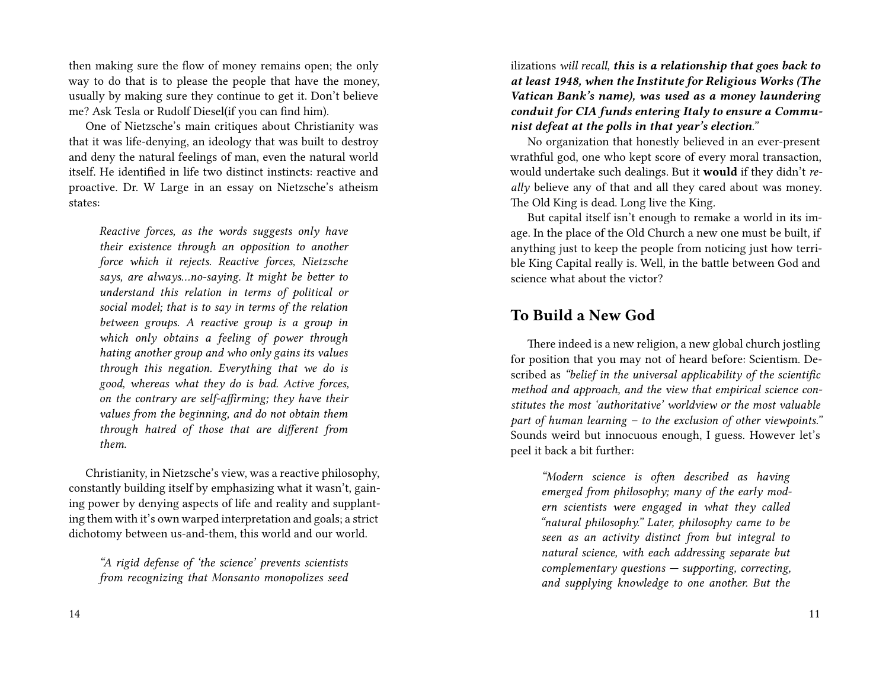then making sure the flow of money remains open; the only way to do that is to please the people that have the money, usually by making sure they continue to get it. Don't believe me? Ask Tesla or Rudolf Diesel(if you can find him).

One of Nietzsche's main critiques about Christianity was that it was life-denying, an ideology that was built to destroy and deny the natural feelings of man, even the natural world itself. He identified in life two distinct instincts: reactive and proactive. Dr. W Large in an essay on Nietzsche's atheism states:

*Reactive forces, as the words suggests only have their existence through an opposition to another force which it rejects. Reactive forces, Nietzsche says, are always…no-saying. It might be better to understand this relation in terms of political or social model; that is to say in terms of the relation between groups. A reactive group is a group in which only obtains a feeling of power through hating another group and who only gains its values through this negation. Everything that we do is good, whereas what they do is bad. Active forces, on the contrary are self-affirming; they have their values from the beginning, and do not obtain them through hatred of those that are different from them.*

Christianity, in Nietzsche's view, was a reactive philosophy, constantly building itself by emphasizing what it wasn't, gaining power by denying aspects of life and reality and supplanting them with it's own warped interpretation and goals; a strict dichotomy between us-and-them, this world and our world.

*"A rigid defense of 'the science' prevents scientists from recognizing that Monsanto monopolizes seed* ilizations *will recall, this is a relationship that goes back to at least 1948, when the Institute for Religious Works (The Vatican Bank's name), was used as a money laundering conduit for CIA funds entering Italy to ensure a Communist defeat at the polls in that year's election."*

No organization that honestly believed in an ever-present wrathful god, one who kept score of every moral transaction, would undertake such dealings. But it **would** if they didn't *really* believe any of that and all they cared about was money. The Old King is dead. Long live the King.

But capital itself isn't enough to remake a world in its image. In the place of the Old Church a new one must be built, if anything just to keep the people from noticing just how terrible King Capital really is. Well, in the battle between God and science what about the victor?

#### **To Build a New God**

There indeed is a new religion, a new global church jostling for position that you may not of heard before: Scientism. Described as *"belief in the universal applicability of the scientific method and approach, and the view that empirical science constitutes the most 'authoritative' worldview or the most valuable part of human learning – to the exclusion of other viewpoints."* Sounds weird but innocuous enough, I guess. However let's peel it back a bit further:

> *"Modern science is often described as having emerged from philosophy; many of the early modern scientists were engaged in what they called "natural philosophy." Later, philosophy came to be seen as an activity distinct from but integral to natural science, with each addressing separate but complementary questions — supporting, correcting, and supplying knowledge to one another. But the*